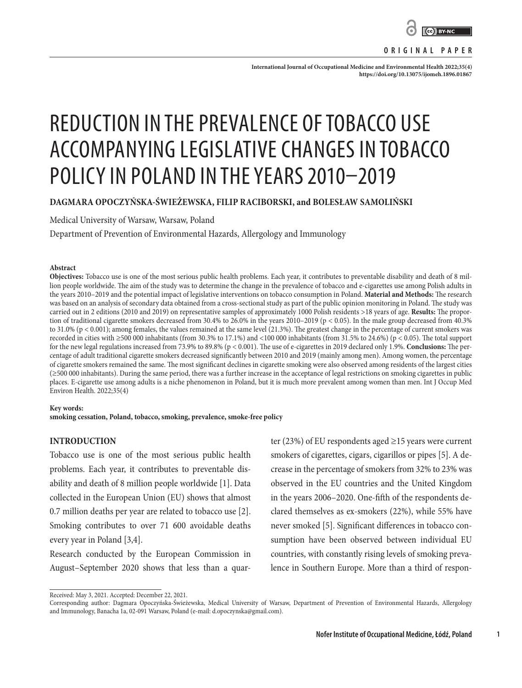

**ORIGINAL PAPER**

International Journal of Occupational Medicine and Environmental Health 2022;35(4): **<https://doi.org/10.13075/ijomeh.1896.01867>**

# REDUCTION IN THE PREVALENCE OF TOBACCO USE ACCOMPANYING LEGISLATIVE CHANGES IN TOBACCO POLICY IN POLAND IN THE YEARS 2010–2019

## **DAGMARA OPOCZYŃSKA-ŚWIEŻEWSKA, FILIP RACIBORSKI, and BOLESŁAW SAMOLIŃSKI**

Medical University of Warsaw, Warsaw, Poland

Department of Prevention of Environmental Hazards, Allergology and Immunology

### **Abstract**

**Objectives:** Tobacco use is one of the most serious public health problems. Each year, it contributes to preventable disability and death of 8 million people worldwide. The aim of the study was to determine the change in the prevalence of tobacco and e-cigarettes use among Polish adults in the years 2010–2019 and the potential impact of legislative interventions on tobacco consumption in Poland. **Material and Methods:** The research was based on an analysis of secondary data obtained from a cross-sectional study as part of the public opinion monitoring in Poland. The study was carried out in 2 editions (2010 and 2019) on representative samples of approximately 1000 Polish residents >18 years of age. **Results:** The proportion of traditional cigarette smokers decreased from 30.4% to 26.0% in the years 2010–2019 (p < 0.05). In the male group decreased from 40.3% to 31.0% (p < 0.001); among females, the values remained at the same level (21.3%). The greatest change in the percentage of current smokers was recorded in cities with  $\geq$ 500 000 inhabitants (from 30.3% to 17.1%) and <100 000 inhabitants (from 31.5% to 24.6%) (p < 0.05). The total support for the new legal regulations increased from 73.9% to 89.8% (p < 0.001). The use of e-cigarettes in 2019 declared only 1.9%. **Conclusions:** The percentage of adult traditional cigarette smokers decreased significantly between 2010 and 2019 (mainly among men). Among women, the percentage of cigarette smokers remained the same. The most significant declines in cigarette smoking were also observed among residents of the largest cities (≥500 000 inhabitants). During the same period, there was a further increase in the acceptance of legal restrictions on smoking cigarettes in public places. E-cigarette use among adults is a niche phenomenon in Poland, but it is much more prevalent among women than men. Int J Occup Med Environ Health. 2022;35(4)

### **Key words:**

**smoking cessation, Poland, tobacco, smoking, prevalence, smoke-free policy**

## **INTRODUCTION**

Tobacco use is one of the most serious public health problems. Each year, it contributes to preventable disability and death of 8 million people worldwide [1]. Data collected in the European Union (EU) shows that almost 0.7 million deaths per year are related to tobacco use [2]. Smoking contributes to over 71 600 avoidable deaths every year in Poland [3,4].

Research conducted by the European Commission in August–September 2020 shows that less than a quar-

ter (23%) of EU respondents aged ≥15 years were current smokers of cigarettes, cigars, cigarillos or pipes [5]. A decrease in the percentage of smokers from 32% to 23% was observed in the EU countries and the United Kingdom in the years 2006–2020. One-fifth of the respondents declared themselves as ex-smokers (22%), while 55% have never smoked [5]. Significant differences in tobacco consumption have been observed between individual EU countries, with constantly rising levels of smoking prevalence in Southern Europe. More than a third of respon-

**1**

Received: May 3, 2021. Accepted: December 22, 2021.

Corresponding author: Dagmara Opoczyńska-Świeżewska, Medical University of Warsaw, Department of Prevention of Environmental Hazards, Allergology and Immunology, Banacha 1a, 02-091 Warsaw, Poland (e-mail: d.opoczynska@gmail.com).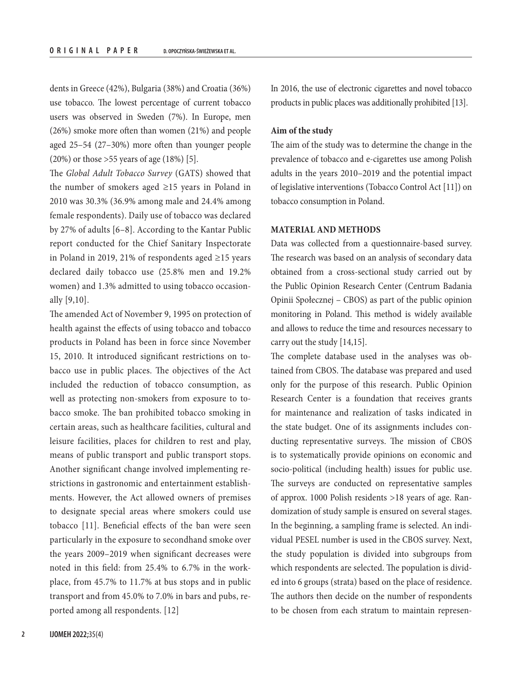dents in Greece (42%), Bulgaria (38%) and Croatia (36%) use tobacco. The lowest percentage of current tobacco users was observed in Sweden (7%). In Europe, men (26%) smoke more often than women (21%) and people aged 25–54 (27–30%) more often than younger people (20%) or those >55 years of age (18%) [5].

The *Global Adult Tobacco Survey* (GATS) showed that the number of smokers aged  $\geq$ 15 years in Poland in 2010 was 30.3% (36.9% among male and 24.4% among female respondents). Daily use of tobacco was declared by 27% of adults [6–8]. According to the Kantar Public report conducted for the Chief Sanitary Inspectorate in Poland in 2019, 21% of respondents aged ≥15 years declared daily tobacco use (25.8% men and 19.2% women) and 1.3% admitted to using tobacco occasionally [9,10].

The amended Act of November 9, 1995 on protection of health against the effects of using tobacco and tobacco products in Poland has been in force since November 15, 2010. It introduced significant restrictions on tobacco use in public places. The objectives of the Act included the reduction of tobacco consumption, as well as protecting non-smokers from exposure to tobacco smoke. The ban prohibited tobacco smoking in certain areas, such as healthcare facilities, cultural and leisure facilities, places for children to rest and play, means of public transport and public transport stops. Another significant change involved implementing restrictions in gastronomic and entertainment establishments. However, the Act allowed owners of premises to designate special areas where smokers could use tobacco [11]. Beneficial effects of the ban were seen particularly in the exposure to secondhand smoke over the years 2009–2019 when significant decreases were noted in this field: from 25.4% to 6.7% in the workplace, from 45.7% to 11.7% at bus stops and in public transport and from 45.0% to 7.0% in bars and pubs, reported among all respondents. [12]

In 2016, the use of electronic cigarettes and novel tobacco products in public places was additionally prohibited [13].

## **Aim of the study**

The aim of the study was to determine the change in the prevalence of tobacco and e-cigarettes use among Polish adults in the years 2010–2019 and the potential impact of legislative interventions (Tobacco Control Act [11]) on tobacco consumption in Poland.

## **MATERIAL AND METHODS**

Data was collected from a questionnaire-based survey. The research was based on an analysis of secondary data obtained from a cross-sectional study carried out by the Public Opinion Research Center (Centrum Badania Opinii Społecznej – CBOS) as part of the public opinion monitoring in Poland. This method is widely available and allows to reduce the time and resources necessary to carry out the study [14,15].

The complete database used in the analyses was obtained from CBOS. The database was prepared and used only for the purpose of this research. Public Opinion Research Center is a foundation that receives grants for maintenance and realization of tasks indicated in the state budget. One of its assignments includes conducting representative surveys. The mission of CBOS is to systematically provide opinions on economic and socio-political (including health) issues for public use. The surveys are conducted on representative samples of approx. 1000 Polish residents >18 years of age. Randomization of study sample is ensured on several stages. In the beginning, a sampling frame is selected. An individual PESEL number is used in the CBOS survey. Next, the study population is divided into subgroups from which respondents are selected. The population is divided into 6 groups (strata) based on the place of residence. The authors then decide on the number of respondents to be chosen from each stratum to maintain represen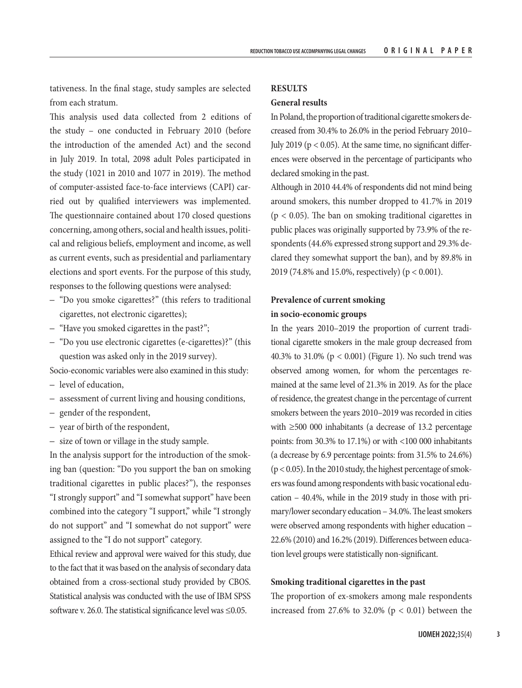tativeness. In the final stage, study samples are selected from each stratum.

This analysis used data collected from 2 editions of the study – one conducted in February 2010 (before the introduction of the amended Act) and the second in July 2019. In total, 2098 adult Poles participated in the study (1021 in 2010 and 1077 in 2019). The method of computer-assisted face-to-face interviews (CAPI) carried out by qualified interviewers was implemented. The questionnaire contained about 170 closed questions concerning, among others, social and health issues, political and religious beliefs, employment and income, as well as current events, such as presidential and parliamentary elections and sport events. For the purpose of this study, responses to the following questions were analysed:

- "Do you smoke cigarettes?" (this refers to traditional cigarettes, not electronic cigarettes);
- "Have you smoked cigarettes in the past?";
- "Do you use electronic cigarettes (e-cigarettes)?" (this question was asked only in the 2019 survey).
- Socio-economic variables were also examined in this study:
- level of education,
- assessment of current living and housing conditions,
- gender of the respondent,
- year of birth of the respondent,
- size of town or village in the study sample.

In the analysis support for the introduction of the smoking ban (question: "Do you support the ban on smoking traditional cigarettes in public places?"), the responses "I strongly support" and "I somewhat support" have been combined into the category "I support," while "I strongly do not support" and "I somewhat do not support" were assigned to the "I do not support" category.

Ethical review and approval were waived for this study, due to the fact that it was based on the analysis of secondary data obtained from a cross-sectional study provided by CBOS. Statistical analysis was conducted with the use of IBM SPSS software v. 26.0. The statistical significance level was  $\leq 0.05$ .

## **RESULTS**

## **General results**

In Poland, the proportion of traditional cigarette smokers decreased from 30.4% to 26.0% in the period February 2010– July 2019 ( $p < 0.05$ ). At the same time, no significant differences were observed in the percentage of participants who declared smoking in the past.

Although in 2010 44.4% of respondents did not mind being around smokers, this number dropped to 41.7% in 2019  $(p < 0.05)$ . The ban on smoking traditional cigarettes in public places was originally supported by 73.9% of the respondents (44.6% expressed strong support and 29.3% declared they somewhat support the ban), and by 89.8% in 2019 (74.8% and 15.0%, respectively) (p < 0.001).

# **Prevalence of current smoking in socio-economic groups**

In the years 2010–2019 the proportion of current traditional cigarette smokers in the male group decreased from 40.3% to 31.0% (p < 0.001) (Figure 1). No such trend was observed among women, for whom the percentages remained at the same level of 21.3% in 2019. As for the place of residence, the greatest change in the percentage of current smokers between the years 2010–2019 was recorded in cities with ≥500 000 inhabitants (a decrease of 13.2 percentage points: from 30.3% to 17.1%) or with <100 000 inhabitants (a decrease by 6.9 percentage points: from 31.5% to 24.6%) (p < 0.05). In the 2010 study, the highest percentage of smokers was found among respondents with basic vocational education – 40.4%, while in the 2019 study in those with primary/lower secondary education – 34.0%. The least smokers were observed among respondents with higher education – 22.6% (2010) and 16.2% (2019). Differences between education level groups were statistically non-significant.

## **Smoking traditional cigarettes in the past**

The proportion of ex-smokers among male respondents increased from 27.6% to 32.0% ( $p < 0.01$ ) between the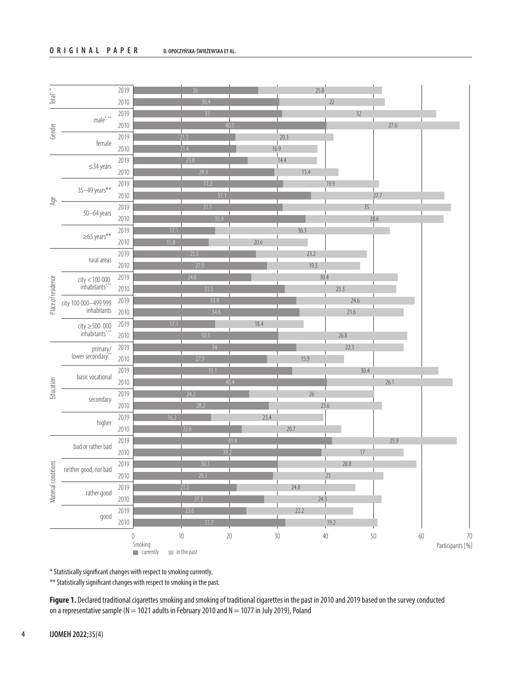

\* Statistically significant changes with respect to smoking currently.

\*\* Statistically significant changes with respect to smoking in the past.

**Figure 1.** Declared traditional cigarettes smoking and smoking of traditional cigarettes in the past in 2010 and 2019 based on the survey conducted on a representative sample (N = 1021 adults in February 2010 and N = 1077 in July 2019), Poland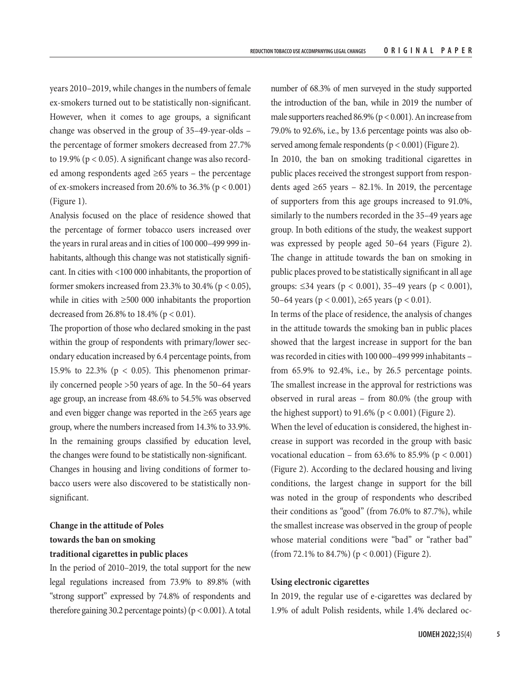years 2010–2019, while changes in the numbers of female ex-smokers turned out to be statistically non-significant. However, when it comes to age groups, a significant change was observed in the group of 35–49-year-olds – the percentage of former smokers decreased from 27.7% to 19.9% ( $p < 0.05$ ). A significant change was also recorded among respondents aged  $\geq 65$  years – the percentage of ex-smokers increased from 20.6% to 36.3% ( $p < 0.001$ ) (Figure 1).

Analysis focused on the place of residence showed that the percentage of former tobacco users increased over the years in rural areas and in cities of 100 000–499 999 inhabitants, although this change was not statistically significant. In cities with <100 000 inhabitants, the proportion of former smokers increased from 23.3% to 30.4% ( $p < 0.05$ ), while in cities with ≥500 000 inhabitants the proportion decreased from 26.8% to 18.4% (p < 0.01).

The proportion of those who declared smoking in the past within the group of respondents with primary/lower secondary education increased by 6.4 percentage points, from 15.9% to 22.3% ( $p < 0.05$ ). This phenomenon primarily concerned people >50 years of age. In the 50–64 years age group, an increase from 48.6% to 54.5% was observed and even bigger change was reported in the ≥65 years age group, where the numbers increased from 14.3% to 33.9%. In the remaining groups classified by education level, the changes were found to be statistically non-significant. Changes in housing and living conditions of former tobacco users were also discovered to be statistically nonsignificant.

# **Change in the attitude of Poles towards the ban on smoking traditional cigarettes in public places**

In the period of 2010–2019, the total support for the new legal regulations increased from 73.9% to 89.8% (with "strong support" expressed by 74.8% of respondents and therefore gaining 30.2 percentage points) ( $p < 0.001$ ). A total

number of 68.3% of men surveyed in the study supported the introduction of the ban, while in 2019 the number of male supporters reached 86.9% (p < 0.001). An increase from 79.0% to 92.6%, i.e., by 13.6 percentage points was also observed among female respondents ( $p < 0.001$ ) (Figure 2).

In 2010, the ban on smoking traditional cigarettes in public places received the strongest support from respondents aged  $\geq 65$  years – 82.1%. In 2019, the percentage of supporters from this age groups increased to 91.0%, similarly to the numbers recorded in the 35–49 years age group. In both editions of the study, the weakest support was expressed by people aged 50–64 years (Figure 2). The change in attitude towards the ban on smoking in public places proved to be statistically significant in all age groups: ≤34 years (p < 0.001), 35–49 years (p < 0.001), 50–64 years ( $p < 0.001$ ), ≥65 years ( $p < 0.01$ ).

In terms of the place of residence, the analysis of changes in the attitude towards the smoking ban in public places showed that the largest increase in support for the ban was recorded in cities with 100 000–499 999 inhabitants – from 65.9% to 92.4%, i.e., by 26.5 percentage points. The smallest increase in the approval for restrictions was observed in rural areas – from 80.0% (the group with the highest support) to  $91.6\%$  (p < 0.001) (Figure 2).

When the level of education is considered, the highest increase in support was recorded in the group with basic vocational education – from  $63.6\%$  to  $85.9\%$  (p < 0.001) (Figure 2). According to the declared housing and living conditions, the largest change in support for the bill was noted in the group of respondents who described their conditions as "good" (from 76.0% to 87.7%), while the smallest increase was observed in the group of people whose material conditions were "bad" or "rather bad" (from 72.1% to 84.7%) ( $p < 0.001$ ) (Figure 2).

## **Using electronic cigarettes**

In 2019, the regular use of e-cigarettes was declared by 1.9% of adult Polish residents, while 1.4% declared oc-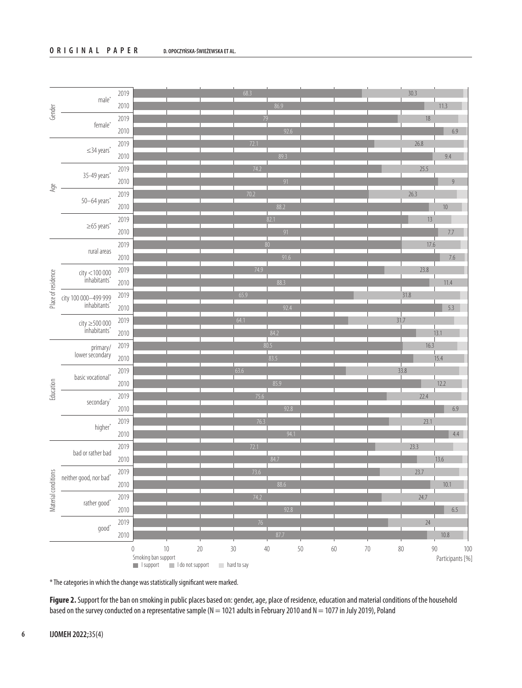| Gender              | male <sup>*</sup>                              | 2019    | 68.3                                                                                                                           | 30.3   |      |                            |     |
|---------------------|------------------------------------------------|---------|--------------------------------------------------------------------------------------------------------------------------------|--------|------|----------------------------|-----|
|                     |                                                | 2010    | 86.9                                                                                                                           |        |      | 11.3                       |     |
|                     | female <sup>®</sup>                            | 2019    | 79                                                                                                                             |        | 18   |                            |     |
|                     |                                                | 2010    | 92.6                                                                                                                           |        |      | $6.9\,$                    |     |
| Age                 | $\leq$ 34 years*                               | 2019    | 72.1                                                                                                                           |        | 26.8 |                            |     |
|                     |                                                | 2010    | 89.3                                                                                                                           |        |      | 9.4                        |     |
|                     | 35-49 years'                                   | 2019    | 74.2                                                                                                                           |        | 25.5 |                            |     |
|                     |                                                | 2010    | 91                                                                                                                             |        |      | 9                          |     |
|                     | 50-64 years'                                   | 2019    | $70.2$                                                                                                                         | 26.3   |      |                            |     |
|                     |                                                | 2010    | 88.2                                                                                                                           |        |      | $10$                       |     |
|                     | $\geq$ 65 years'                               | 2019    | 82.1                                                                                                                           |        | 13   |                            |     |
|                     |                                                | 2010    | 91                                                                                                                             |        |      | 7.7                        |     |
|                     | rural areas                                    | 2019    | 80                                                                                                                             |        | 17.6 |                            |     |
|                     |                                                | 2010    | 91.6                                                                                                                           |        |      | $7.6\,$                    |     |
|                     | $city < 100000$<br>$inhabitants*$              | 2019    | 74.9                                                                                                                           |        | 23.8 |                            |     |
| Place of residence  |                                                | 2010    | 88.3                                                                                                                           |        |      | 11.4                       |     |
|                     | city 100 000-499 999<br>inhabitants'           | 2019    | 65.9                                                                                                                           | 31.8   |      |                            |     |
|                     |                                                | 2010    | 92.4                                                                                                                           |        |      | 5.3                        |     |
|                     | $city \geq 500000$<br>inhabitants <sup>*</sup> | 2019    | 64.1                                                                                                                           | 31.7   |      |                            |     |
|                     |                                                | 2010    | 84.2                                                                                                                           |        |      | 13.1                       |     |
|                     | primary/<br>lower secondary                    | 2019    | 80.5                                                                                                                           |        | 16.3 |                            |     |
|                     |                                                | 2010    | 83.5                                                                                                                           |        |      | 15.4                       |     |
|                     | basic vocational*                              | 2019    | 63.6                                                                                                                           | 33.8   |      |                            |     |
| Education           |                                                | 2010    | 85.9                                                                                                                           |        |      | 12.2                       |     |
|                     | secondary*                                     | 2019    | 75.6                                                                                                                           |        | 22.4 |                            |     |
|                     |                                                | 2010    | 92.8                                                                                                                           |        |      | $6.9\,$                    |     |
|                     | higher'                                        | 2019    | 76.3                                                                                                                           |        | 23.1 |                            |     |
|                     |                                                | 2010    | 94.1                                                                                                                           |        |      | 4.4                        |     |
|                     | bad or rather bad                              | 2019    | 72.1                                                                                                                           | 23.3   |      |                            |     |
|                     |                                                | 2010    | 84.7                                                                                                                           |        |      | 13.6                       |     |
|                     | neither good, nor bad*                         | 2019    | 73.6                                                                                                                           |        | 23.7 |                            |     |
|                     |                                                | 2010    | 88.6                                                                                                                           |        |      | $10.1$                     |     |
| Material conditions | rather good*                                   | 2019    | 74.2                                                                                                                           |        | 24.7 |                            |     |
|                     |                                                | 2010    | 92.8                                                                                                                           |        |      | $6.5\,$                    |     |
|                     | $good^*$                                       | 2019    | 76                                                                                                                             |        | 24   |                            |     |
|                     |                                                | 2010    | 87.7                                                                                                                           |        |      | 10.8                       |     |
|                     |                                                | $\,0\,$ | $10\,$<br>$20\,$<br>$30\,$<br>50<br>60<br>$70\,$<br>$40\,$<br>Smoking ban support<br>I support I do not support<br>hard to say | $80\,$ |      | $90\,$<br>Participants [%] | 100 |

\* The categories in which the change was statistically significant were marked.

**Figure 2.** Support for the ban on smoking in public places based on: gender, age, place of residence, education and material conditions of the household based on the survey conducted on a representative sample (N = 1021 adults in February 2010 and N = 1077 in July 2019), Poland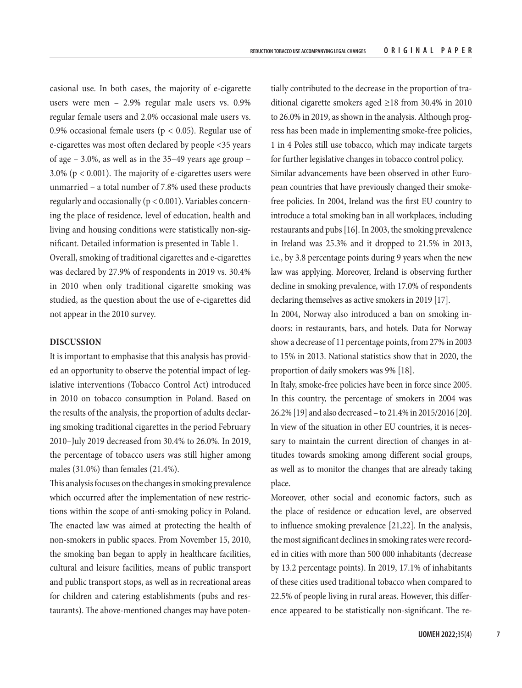casional use. In both cases, the majority of e-cigarette users were men – 2.9% regular male users vs. 0.9% regular female users and 2.0% occasional male users vs. 0.9% occasional female users ( $p < 0.05$ ). Regular use of e-cigarettes was most often declared by people <35 years of age – 3.0%, as well as in the 35–49 years age group – 3.0% ( $p < 0.001$ ). The majority of e-cigarettes users were unmarried – a total number of 7.8% used these products regularly and occasionally ( $p < 0.001$ ). Variables concerning the place of residence, level of education, health and living and housing conditions were statistically non-significant. Detailed information is presented in Table 1.

Overall, smoking of traditional cigarettes and e-cigarettes was declared by 27.9% of respondents in 2019 vs. 30.4% in 2010 when only traditional cigarette smoking was studied, as the question about the use of e-cigarettes did not appear in the 2010 survey.

## **DISCUSSION**

It is important to emphasise that this analysis has provided an opportunity to observe the potential impact of legislative interventions (Tobacco Control Act) introduced in 2010 on tobacco consumption in Poland. Based on the results of the analysis, the proportion of adults declaring smoking traditional cigarettes in the period February 2010–July 2019 decreased from 30.4% to 26.0%. In 2019, the percentage of tobacco users was still higher among males (31.0%) than females (21.4%).

This analysis focuses on the changes in smoking prevalence which occurred after the implementation of new restrictions within the scope of anti-smoking policy in Poland. The enacted law was aimed at protecting the health of non-smokers in public spaces. From November 15, 2010, the smoking ban began to apply in healthcare facilities, cultural and leisure facilities, means of public transport and public transport stops, as well as in recreational areas for children and catering establishments (pubs and restaurants). The above-mentioned changes may have poten-

tially contributed to the decrease in the proportion of traditional cigarette smokers aged ≥18 from 30.4% in 2010 to 26.0% in 2019, as shown in the analysis. Although progress has been made in implementing smoke-free policies, 1 in 4 Poles still use tobacco, which may indicate targets for further legislative changes in tobacco control policy. Similar advancements have been observed in other European countries that have previously changed their smokefree policies. In 2004, Ireland was the first EU country to introduce a total smoking ban in all workplaces, including restaurants and pubs [16]. In 2003, the smoking prevalence in Ireland was 25.3% and it dropped to 21.5% in 2013, i.e., by 3.8 percentage points during 9 years when the new law was applying. Moreover, Ireland is observing further decline in smoking prevalence, with 17.0% of respondents declaring themselves as active smokers in 2019 [17].

In 2004, Norway also introduced a ban on smoking indoors: in restaurants, bars, and hotels. Data for Norway show a decrease of 11 percentage points, from 27% in 2003 to 15% in 2013. National statistics show that in 2020, the proportion of daily smokers was 9% [18].

In Italy, smoke-free policies have been in force since 2005. In this country, the percentage of smokers in 2004 was 26.2% [19] and also decreased – to 21.4% in 2015/2016 [20]. In view of the situation in other EU countries, it is necessary to maintain the current direction of changes in attitudes towards smoking among different social groups, as well as to monitor the changes that are already taking place.

Moreover, other social and economic factors, such as the place of residence or education level, are observed to influence smoking prevalence [21,22]. In the analysis, the most significant declines in smoking rates were recorded in cities with more than 500 000 inhabitants (decrease by 13.2 percentage points). In 2019, 17.1% of inhabitants of these cities used traditional tobacco when compared to 22.5% of people living in rural areas. However, this difference appeared to be statistically non-significant. The re-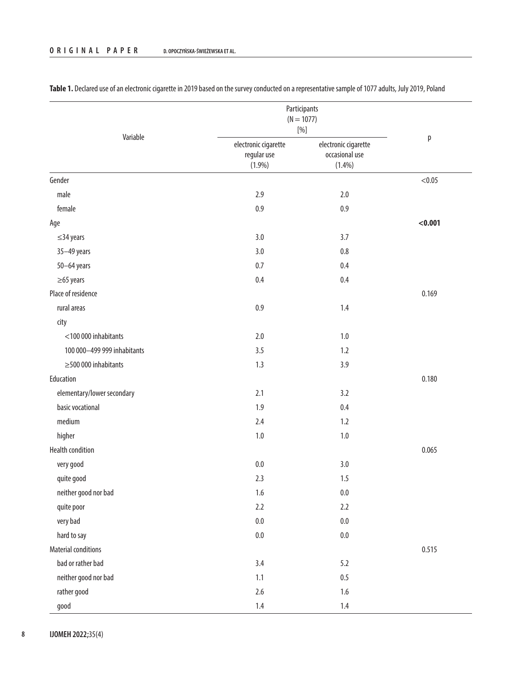|                             | Participants<br>$(N = 1077)$<br>$[\%]$        |                                                     |         |
|-----------------------------|-----------------------------------------------|-----------------------------------------------------|---------|
| Variable                    | electronic cigarette<br>regular use<br>(1.9%) | electronic cigarette<br>occasional use<br>$(1.4\%)$ | p       |
| Gender                      |                                               |                                                     | < 0.05  |
| male                        | 2.9                                           | $2.0$                                               |         |
| female                      | 0.9                                           | $0.9\,$                                             |         |
| Age                         |                                               |                                                     | < 0.001 |
| $\leq$ 34 years             | 3.0                                           | 3.7                                                 |         |
| 35-49 years                 | 3.0                                           | $0.8\,$                                             |         |
| $50 - 64$ years             | $0.7\,$                                       | 0.4                                                 |         |
| $\geq$ 65 years             | 0.4                                           | 0.4                                                 |         |
| Place of residence          |                                               |                                                     | 0.169   |
| rural areas                 | 0.9                                           | 1.4                                                 |         |
| city                        |                                               |                                                     |         |
| <100 000 inhabitants        | $2.0$                                         | $1.0\,$                                             |         |
| 100 000-499 999 inhabitants | 3.5                                           | 1.2                                                 |         |
| $\geq$ 500 000 inhabitants  | 1.3                                           | 3.9                                                 |         |
| Education                   |                                               |                                                     | 0.180   |
| elementary/lower secondary  | 2.1                                           | 3.2                                                 |         |
| basic vocational            | 1.9                                           | 0.4                                                 |         |
| medium                      | 2.4                                           | 1.2                                                 |         |
| higher                      | $1.0\,$                                       | $1.0\,$                                             |         |
| <b>Health condition</b>     |                                               |                                                     | 0.065   |
| very good                   | $0.0\,$                                       | $3.0\,$                                             |         |
| quite good                  | 2.3                                           | 1.5                                                 |         |
| neither good nor bad        | 1.6                                           | $0.0\,$                                             |         |
| quite poor                  | 2.2                                           | 2.2                                                 |         |
| very bad                    | $0.0\,$                                       | $0.0\,$                                             |         |
| hard to say                 | $0.0\,$                                       | $0.0\,$                                             |         |
| <b>Material conditions</b>  |                                               |                                                     | 0.515   |
| bad or rather bad           | 3.4                                           | 5.2                                                 |         |
| neither good nor bad        | $1.1\,$                                       | $0.5\,$                                             |         |
| rather good                 | $2.6\,$                                       | $1.6\,$                                             |         |
| good                        | $1.4\,$                                       | $1.4\,$                                             |         |

Table 1. Declared use of an electronic cigarette in 2019 based on the survey conducted on a representative sample of 1077 adults, July 2019, Poland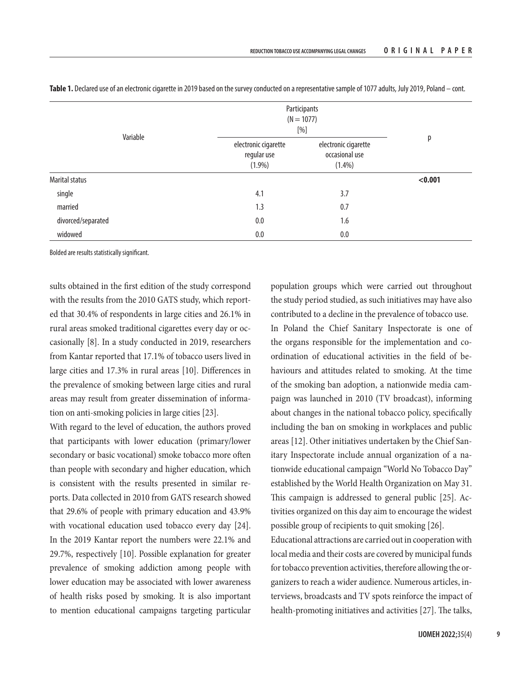|                    | Participants<br>$(N = 1077)$<br>$[%] \centering \subfloat[\centering]{{\includegraphics[width=0.25\textwidth]{figs/v100000.pdf} }}% \subfloat[\centering]{{\includegraphics[width=0.25\textwidth]{figs/v200000.pdf} }}% \subfloat[\centering]{{\includegraphics[width=0.25\textwidth]{figs/v20000.pdf} }}% \subfloat[\centering]{{\includegraphics[width=0.25\textwidth]{figs/v20000.pdf} }}% \subfloat[\centering]{{\includegraphics[width=0.25\textwidth]{figs/v20000.pdf} }}% \subfloat[\centering]{{\includegraphics[width=0.25\textwidth]{figs/v20000.pdf} }}% \subfloat[\centering]{{$ |                                                     |         |
|--------------------|----------------------------------------------------------------------------------------------------------------------------------------------------------------------------------------------------------------------------------------------------------------------------------------------------------------------------------------------------------------------------------------------------------------------------------------------------------------------------------------------------------------------------------------------------------------------------------------------|-----------------------------------------------------|---------|
| Variable           | electronic cigarette<br>regular use<br>$(1.9\%)$                                                                                                                                                                                                                                                                                                                                                                                                                                                                                                                                             | electronic cigarette<br>occasional use<br>$(1.4\%)$ | р       |
| Marital status     |                                                                                                                                                                                                                                                                                                                                                                                                                                                                                                                                                                                              |                                                     | < 0.001 |
| single             | 4.1                                                                                                                                                                                                                                                                                                                                                                                                                                                                                                                                                                                          | 3.7                                                 |         |
| married            | 1.3                                                                                                                                                                                                                                                                                                                                                                                                                                                                                                                                                                                          | 0.7                                                 |         |
| divorced/separated | 0.0                                                                                                                                                                                                                                                                                                                                                                                                                                                                                                                                                                                          | 1.6                                                 |         |
| widowed            | 0.0                                                                                                                                                                                                                                                                                                                                                                                                                                                                                                                                                                                          | 0.0                                                 |         |

**Table 1.** Declared use of an electronic cigarette in 2019 based on the survey conducted on a representative sample of 1077 adults, July 2019, Poland – cont.

Bolded are results statistically significant.

sults obtained in the first edition of the study correspond with the results from the 2010 GATS study, which reported that 30.4% of respondents in large cities and 26.1% in rural areas smoked traditional cigarettes every day or occasionally [8]. In a study conducted in 2019, researchers from Kantar reported that 17.1% of tobacco users lived in large cities and 17.3% in rural areas [10]. Differences in the prevalence of smoking between large cities and rural areas may result from greater dissemination of information on anti-smoking policies in large cities [23].

With regard to the level of education, the authors proved that participants with lower education (primary/lower secondary or basic vocational) smoke tobacco more often than people with secondary and higher education, which is consistent with the results presented in similar reports. Data collected in 2010 from GATS research showed that 29.6% of people with primary education and 43.9% with vocational education used tobacco every day [24]. In the 2019 Kantar report the numbers were 22.1% and 29.7%, respectively [10]. Possible explanation for greater prevalence of smoking addiction among people with lower education may be associated with lower awareness of health risks posed by smoking. It is also important to mention educational campaigns targeting particular

population groups which were carried out throughout the study period studied, as such initiatives may have also contributed to a decline in the prevalence of tobacco use. In Poland the Chief Sanitary Inspectorate is one of the organs responsible for the implementation and coordination of educational activities in the field of behaviours and attitudes related to smoking. At the time of the smoking ban adoption, a nationwide media campaign was launched in 2010 (TV broadcast), informing about changes in the national tobacco policy, specifically including the ban on smoking in workplaces and public areas [12]. Other initiatives undertaken by the Chief Sanitary Inspectorate include annual organization of a nationwide educational campaign "World No Tobacco Day" established by the World Health Organization on May 31. This campaign is addressed to general public [25]. Activities organized on this day aim to encourage the widest possible group of recipients to quit smoking [26].

Educational attractions are carried out in cooperation with local media and their costs are covered by municipal funds for tobacco prevention activities, therefore allowing the organizers to reach a wider audience. Numerous articles, interviews, broadcasts and TV spots reinforce the impact of health-promoting initiatives and activities [27]. The talks,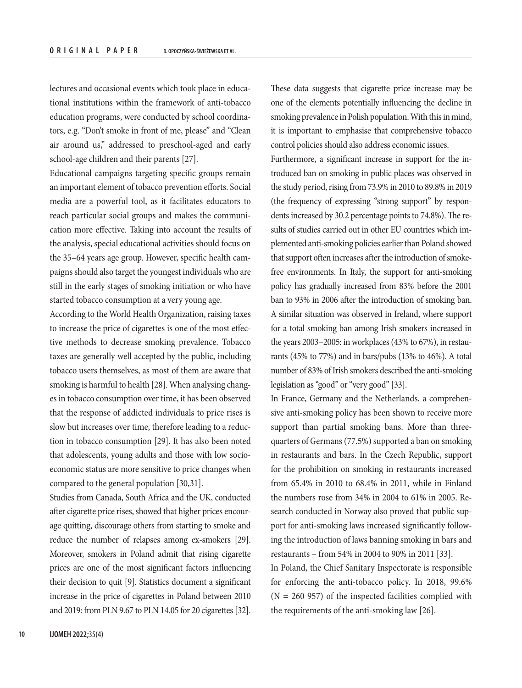lectures and occasional events which took place in educational institutions within the framework of anti-tobacco education programs, were conducted by school coordinators, e.g. "Don't smoke in front of me, please" and "Clean air around us," addressed to preschool-aged and early school-age children and their parents [27].

Educational campaigns targeting specific groups remain an important element of tobacco prevention efforts. Social media are a powerful tool, as it facilitates educators to reach particular social groups and makes the communication more effective. Taking into account the results of the analysis, special educational activities should focus on the 35–64 years age group. However, specific health campaigns should also target the youngest individuals who are still in the early stages of smoking initiation or who have started tobacco consumption at a very young age.

According to the World Health Organization, raising taxes to increase the price of cigarettes is one of the most effective methods to decrease smoking prevalence. Tobacco taxes are generally well accepted by the public, including tobacco users themselves, as most of them are aware that smoking is harmful to health [28]. When analysing changes in tobacco consumption over time, it has been observed that the response of addicted individuals to price rises is slow but increases over time, therefore leading to a reduction in tobacco consumption [29]. It has also been noted that adolescents, young adults and those with low socioeconomic status are more sensitive to price changes when compared to the general population [30,31].

Studies from Canada, South Africa and the UK, conducted after cigarette price rises, showed that higher prices encourage quitting, discourage others from starting to smoke and reduce the number of relapses among ex-smokers [29]. Moreover, smokers in Poland admit that rising cigarette prices are one of the most significant factors influencing their decision to quit [9]. Statistics document a significant increase in the price of cigarettes in Poland between 2010 and 2019: from PLN 9.67 to PLN 14.05 for 20 cigarettes [32].

These data suggests that cigarette price increase may be one of the elements potentially influencing the decline in smoking prevalence in Polish population. With this in mind, it is important to emphasise that comprehensive tobacco control policies should also address economic issues.

Furthermore, a significant increase in support for the introduced ban on smoking in public places was observed in the study period, rising from 73.9% in 2010 to 89.8% in 2019 (the frequency of expressing "strong support" by respondents increased by 30.2 percentage points to 74.8%). The results of studies carried out in other EU countries which implemented anti-smoking policies earlier than Poland showed that support often increases after the introduction of smokefree environments. In Italy, the support for anti-smoking policy has gradually increased from 83% before the 2001 ban to 93% in 2006 after the introduction of smoking ban. A similar situation was observed in Ireland, where support for a total smoking ban among Irish smokers increased in the years 2003–2005: in workplaces (43% to 67%), in restaurants (45% to 77%) and in bars/pubs (13% to 46%). A total number of 83% of Irish smokers described the anti-smoking legislation as "good" or "very good" [33].

In France, Germany and the Netherlands, a comprehensive anti-smoking policy has been shown to receive more support than partial smoking bans. More than threequarters of Germans (77.5%) supported a ban on smoking in restaurants and bars. In the Czech Republic, support for the prohibition on smoking in restaurants increased from 65.4% in 2010 to 68.4% in 2011, while in Finland the numbers rose from 34% in 2004 to 61% in 2005. Research conducted in Norway also proved that public support for anti-smoking laws increased significantly following the introduction of laws banning smoking in bars and restaurants – from 54% in 2004 to 90% in 2011 [33].

In Poland, the Chief Sanitary Inspectorate is responsible for enforcing the anti-tobacco policy. In 2018, 99.6%  $(N = 260 957)$  of the inspected facilities complied with the requirements of the anti-smoking law [26].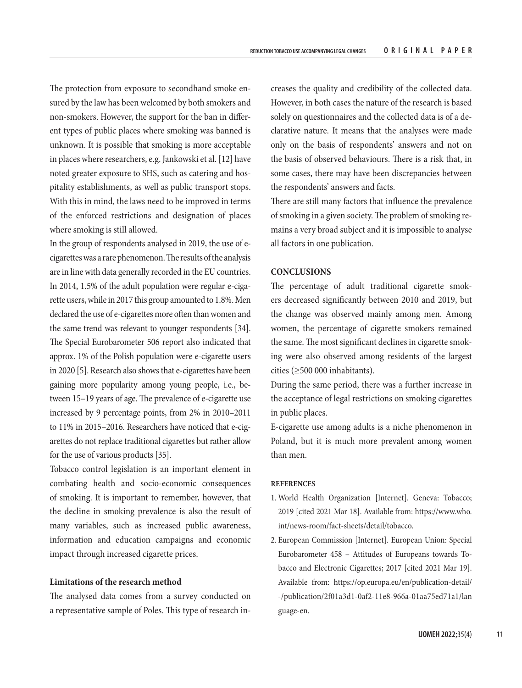The protection from exposure to secondhand smoke ensured by the law has been welcomed by both smokers and non-smokers. However, the support for the ban in different types of public places where smoking was banned is unknown. It is possible that smoking is more acceptable in places where researchers, e.g. Jankowski et al. [12] have noted greater exposure to SHS, such as catering and hospitality establishments, as well as public transport stops. With this in mind, the laws need to be improved in terms of the enforced restrictions and designation of places where smoking is still allowed.

In the group of respondents analysed in 2019, the use of ecigarettes was a rare phenomenon. The results of the analysis are in line with data generally recorded in the EU countries. In 2014, 1.5% of the adult population were regular e-cigarette users, while in 2017 this group amounted to 1.8%. Men declared the use of e-cigarettes more often than women and the same trend was relevant to younger respondents [34]. The Special Eurobarometer 506 report also indicated that approx. 1% of the Polish population were e-cigarette users in 2020 [5]. Research also shows that e-cigarettes have been gaining more popularity among young people, i.e., between 15–19 years of age. The prevalence of e-cigarette use increased by 9 percentage points, from 2% in 2010–2011 to 11% in 2015–2016. Researchers have noticed that e-cigarettes do not replace traditional cigarettes but rather allow for the use of various products [35].

Tobacco control legislation is an important element in combating health and socio-economic consequences of smoking. It is important to remember, however, that the decline in smoking prevalence is also the result of many variables, such as increased public awareness, information and education campaigns and economic impact through increased cigarette prices.

## **Limitations of the research method**

The analysed data comes from a survey conducted on a representative sample of Poles. This type of research increases the quality and credibility of the collected data. However, in both cases the nature of the research is based solely on questionnaires and the collected data is of a declarative nature. It means that the analyses were made only on the basis of respondents' answers and not on the basis of observed behaviours. There is a risk that, in some cases, there may have been discrepancies between the respondents' answers and facts.

There are still many factors that influence the prevalence of smoking in a given society. The problem of smoking remains a very broad subject and it is impossible to analyse all factors in one publication.

## **CONCLUSIONS**

The percentage of adult traditional cigarette smokers decreased significantly between 2010 and 2019, but the change was observed mainly among men. Among women, the percentage of cigarette smokers remained the same. The most significant declines in cigarette smoking were also observed among residents of the largest cities (≥500 000 inhabitants).

During the same period, there was a further increase in the acceptance of legal restrictions on smoking cigarettes in public places.

E-cigarette use among adults is a niche phenomenon in Poland, but it is much more prevalent among women than men.

### **REFERENCES**

- 1. World Health Organization [Internet]. Geneva: Tobacco; 2019 [cited 2021 Mar 18]. Available from: [https://www.who.](https://www.who.int/news-room/fact-sheets/detail/tobacco) [int/news-room/fact-sheets/detail/tobacco.](https://www.who.int/news-room/fact-sheets/detail/tobacco)
- 2. European Commission [Internet]. European Union: Special Eurobarometer 458 – Attitudes of Europeans towards Tobacco and Electronic Cigarettes; 2017 [cited 2021 Mar 19]. Available from: [https://op.europa.eu/en/publication-detail/](https://op.europa.eu/en/publication-detail/-/publication/2f01a3d1-0af2-11e8-966a-01aa75ed71a1/language-en) [-/publication/2f01a3d1-0af2-11e8-966a-01aa75ed71a1/lan](https://op.europa.eu/en/publication-detail/-/publication/2f01a3d1-0af2-11e8-966a-01aa75ed71a1/language-en) [guage-en](https://op.europa.eu/en/publication-detail/-/publication/2f01a3d1-0af2-11e8-966a-01aa75ed71a1/language-en).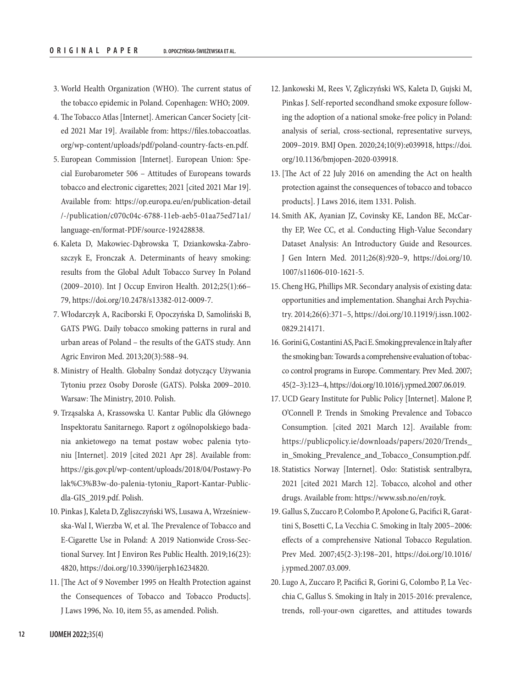- 3. World Health Organization (WHO). The current status of the tobacco epidemic in Poland. Copenhagen: WHO; 2009.
- 4. The Tobacco Atlas [Internet]. American Cancer Society [cited 2021 Mar 19]. Available from: [https://files.tobaccoatlas.](https://files.tobaccoatlas.org/wp-content/uploads/pdf/poland-country-facts-en.pdf) [org/wp-content/uploads/pdf/poland-country-facts-en.pdf](https://files.tobaccoatlas.org/wp-content/uploads/pdf/poland-country-facts-en.pdf).
- 5. European Commission [Internet]. European Union: Special Eurobarometer 506 – Attitudes of Europeans towards tobacco and electronic cigarettes; 2021 [cited 2021 Mar 19]. Available from: https://op.europa.eu/en/publication-detail /-/publication/c070c04c-6788-11eb-aeb5-01aa75ed71a1/ language-en/format-PDF/source-192428838.
- 6. Kaleta D, Makowiec-Dąbrowska T, Dziankowska-Zabroszczyk E, Fronczak A. Determinants of heavy smoking: results from the Global Adult Tobacco Survey In Poland (2009–2010). Int J Occup Environ Health. 2012;25(1):66– 79, [https://doi.org/10.2478/s13382-012-0009-7.](https://doi.org/10.2478/s13382-012-0009-7)
- 7. Włodarczyk A, Raciborski F, Opoczyńska D, Samoliński B, GATS PWG. Daily tobacco smoking patterns in rural and urban areas of Poland – the results of the GATS study. Ann Agric Environ Med. 2013;20(3):588–94.
- 8. Ministry of Health. Globalny Sondaż dotyczący Używania Tytoniu przez Osoby Dorosłe (GATS). Polska 2009–2010. Warsaw: The Ministry, 2010. Polish.
- 9. Trząsalska A, Krassowska U. Kantar Public dla Głównego Inspektoratu Sanitarnego. Raport z ogólnopolskiego badania ankietowego na temat postaw wobec palenia tytoniu [Internet]. 2019 [cited 2021 Apr 28]. Available from: [https://gis.gov.pl/wp-content/uploads/2018/04/Postawy-Po](https://gis.gov.pl/wp-content/uploads/2018/04/Postawy-Polak%C3%B3w-do-palenia-tytoniu_Raport-Kantar-Public-dla-GIS_2019.pdf) [lak%C3%B3w-do-palenia-tytoniu\\_Raport-Kantar-Public](https://gis.gov.pl/wp-content/uploads/2018/04/Postawy-Polak%C3%B3w-do-palenia-tytoniu_Raport-Kantar-Public-dla-GIS_2019.pdf)[dla-GIS\\_2019.pdf.](https://gis.gov.pl/wp-content/uploads/2018/04/Postawy-Polak%C3%B3w-do-palenia-tytoniu_Raport-Kantar-Public-dla-GIS_2019.pdf) Polish.
- 10. Pinkas J, Kaleta D, Zgliszczyński WS, Lusawa A, Wrześniewska-Wal I, Wierzba W, et al. The Prevalence of Tobacco and E-Cigarette Use in Poland: A 2019 Nationwide Cross-Sectional Survey. Int J Environ Res Public Health. 2019;16(23): 4820,<https://doi.org/10.3390/ijerph16234820>.
- 11. [The Act of 9 November 1995 on Health Protection against the Consequences of Tobacco and Tobacco Products]. J Laws 1996, No. 10, item 55, as amended. Polish.
- 12. Jankowski M, Rees V, Zgliczyński WS, Kaleta D, Gujski M, Pinkas J. Self-reported secondhand smoke exposure following the adoption of a national smoke-free policy in Poland: analysis of serial, cross-sectional, representative surveys, 2009–2019. BMJ Open. 2020;24;10(9):e039918, [https://doi.](https://doi.org/10.1136/bmjopen-2020-039918) [org/10.1136/bmjopen-2020-039918](https://doi.org/10.1136/bmjopen-2020-039918).
- 13. [The Act of 22 July 2016 on amending the Act on health protection against the consequences of tobacco and tobacco products]. J Laws 2016, item 1331. Polish.
- 14. Smith AK, Ayanian JZ, Covinsky KE, Landon BE, McCarthy EP, Wee CC, et al. Conducting High-Value Secondary Dataset Analysis: An Introductory Guide and Resources. J Gen Intern Med. 2011;26(8):920–9, [https://doi.org/10.](https://doi.org/10.1007/s11606-010-1621-5) [1007/s11606-010-1621-5](https://doi.org/10.1007/s11606-010-1621-5).
- 15. Cheng HG, Phillips MR. Secondary analysis of existing data: opportunities and implementation. Shanghai Arch Psychiatry. 2014;26(6):371–5, [https://doi.org/10.11919/j.issn.1002-](https://doi.org/10.11919/j.issn.1002-0829.214171) [0829.214171](https://doi.org/10.11919/j.issn.1002-0829.214171).
- 16. Gorini G, Costantini AS, Paci E. Smoking prevalence in Italy after the smoking ban: Towards a comprehensive evaluation of tobacco control programs in Europe. Commentary. Prev Med. 2007; 45(2–3):123–4, [https://doi.org/10.1016/j.ypmed.2007.06.019.](https://doi.org/10.1016/j.ypmed.2007.06.019)
- 17. UCD Geary Institute for Public Policy [Internet]. Malone P, O'Connell P. Trends in Smoking Prevalence and Tobacco Consumption. [cited 2021 March 12]. Available from: [https://publicpolicy.ie/downloads/papers/2020/Trends\\_](https://publicpolicy.ie/downloads/papers/2020/Trends_in_Smoking_Prevalence_and_Tobacco_Consumption.pdf) [in\\_Smoking\\_Prevalence\\_and\\_Tobacco\\_Consumption.pdf.](https://publicpolicy.ie/downloads/papers/2020/Trends_in_Smoking_Prevalence_and_Tobacco_Consumption.pdf)
- 18. Statistics Norway [Internet]. Oslo: Statistisk sentralbyra, 2021 [cited 2021 March 12]. Tobacco, alcohol and other drugs. Available from: [https://www.ssb.no/en/royk.](https://www.ssb.no/en/royk)
- 19. Gallus S, Zuccaro P, Colombo P, Apolone G, Pacifici R, Garattini S, Bosetti C, La Vecchia C. Smoking in Italy 2005–2006: effects of a comprehensive National Tobacco Regulation. Prev Med. 2007;45(2-3):198–201, [https://doi.org/10.1016/](https://doi.org/10.1016/j.ypmed.2007.03.009) [j.ypmed.2007.03.009.](https://doi.org/10.1016/j.ypmed.2007.03.009)
- 20. Lugo A, Zuccaro P, Pacifici R, Gorini G, Colombo P, La Vecchia C, Gallus S. Smoking in Italy in 2015-2016: prevalence, trends, roll-your-own cigarettes, and attitudes towards